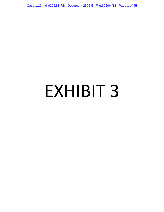Case 1:11-md-02262-NRB Document 2506-5 Filed 05/04/18 Page 1 of 45

# EXHIBIT 3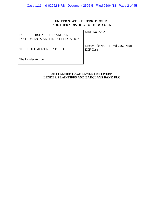# **UNITED STATES DISTRICT COURT SOUTHERN DISTRICT OF NEW YORK**

| IN RE LIBOR-BASED FINANCIAL<br>INSTRUMENTS ANTITRUST LITIGATION | <b>MDL No. 2262</b>                                 |
|-----------------------------------------------------------------|-----------------------------------------------------|
| THIS DOCUMENT RELATES TO:                                       | Master File No. 1:11-md-2262-NRB<br><b>ECF Case</b> |
| The Lender Action                                               |                                                     |

# **SETTLEMENT AGREEMENT BETWEEN LENDER PLAINTIFFS AND BARCLAYS BANK PLC**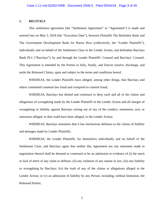# **1. RECITALS**

This settlement agreement (the "Settlement Agreement" or "Agreement") is made and entered into on May 3, 2018 (the "Execution Date"), between Plaintiffs The Berkshire Bank and The Government Development Bank for Puerto Rico (collectively, the "Lender Plaintiffs"), individually and on behalf of the Settlement Class in the Lender Action, and defendant Barclays Bank PLC ("Barclays"), by and through the Lender Plaintiffs' Counsel and Barclays' Counsel. This Agreement is intended by the Parties to fully, finally, and forever resolve, discharge, and settle the Released Claims, upon and subject to the terms and conditions hereof.

WHEREAS, the Lender Plaintiffs have alleged, among other things, that Barclays and others committed common law fraud and conspired to commit fraud;

WHEREAS, Barclays has denied and continues to deny each and all of the claims and allegations of wrongdoing made by the Lender Plaintiffs in the Lender Action and all charges of wrongdoing or liability against Barclays arising out of any of the conduct, statements, acts, or omissions alleged, or that could have been alleged, in the Lender Action;

WHEREAS, Barclays maintains that it has meritorious defenses to the claims of liability and damages made by Lender Plaintiffs;

WHEREAS, the Lender Plaintiffs, for themselves individually and on behalf of the Settlement Class, and Barclays agree that neither this Agreement nor any statement made in negotiation thereof shall be deemed or construed to be an admission or evidence of (i) the merit or lack of merit of any claim or defense; (ii) any violation of any statute or law; (iii) any liability or wrongdoing by Barclays; (iv) the truth of any of the claims or allegations alleged in the Lender Action; or (v) an admission of liability by any Person, including, without limitation, the Released Parties;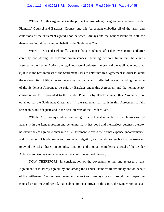# Case 1:11-md-02262-NRB Document 2506-5 Filed 05/04/18 Page 4 of 45

WHEREAS, this Agreement is the product of arm's-length negotiations between Lender Plaintiffs' Counsel and Barclays' Counsel and this Agreement embodies all of the terms and conditions of the settlement agreed upon between Barclays and the Lender Plaintiffs, both for themselves individually and on behalf of the Settlement Class;

WHEREAS, Lender Plaintiffs' Counsel have concluded, after due investigation and after carefully considering the relevant circumstances, including, without limitation, the claims asserted in the Lender Action, the legal and factual defenses thereto, and the applicable law, that: (i) it is in the best interests of the Settlement Class to enter into this Agreement in order to avoid the uncertainties of litigation and to assure that the benefits reflected herein, including the value of the Settlement Amount to be paid by Barclays under this Agreement and the nonmonetary consideration to be provided to the Lender Plaintiffs by Barclays under this Agreement, are obtained for the Settlement Class; and (ii) the settlement set forth in this Agreement is fair, reasonable, and adequate and in the best interests of the Lender Class;

WHEREAS, Barclays, while continuing to deny that it is liable for the claims asserted against it in the Lender Action and believing that it has good and meritorious defenses thereto, has nevertheless agreed to enter into this Agreement to avoid the further expense, inconvenience, and distraction of burdensome and protracted litigation, and thereby to resolve this controversy, to avoid the risks inherent in complex litigation, and to obtain complete dismissal of the Lender Action as to Barclays and a release of the claims as set forth herein;

NOW, THEREFORE, in consideration of the covenants, terms, and releases in this Agreement, it is hereby agreed, by and among the Lender Plaintiffs (individually and on behalf of the Settlement Class and each member thereof) and Barclays by and through their respective counsel or attorneys of record, that, subject to the approval of the Court, the Lender Action shall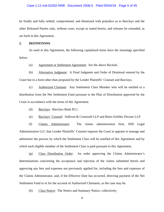#### Case 1:11-md-02262-NRB Document 2506-5 Filed 05/04/18 Page 5 of 45

be finally and fully settled, compromised, and dismissed with prejudice as to Barclays and the other Released Parties only, without costs, except as stated herein, and releases be extended, as set forth in this Agreement.

# **2. DEFINITIONS**

As used in this Agreement, the following capitalized terms have the meanings specified below:

(a) Agreement or Settlement Agreement: *See* the above Recitals.

(b) Alternative Judgment: A Final Judgment and Order of Dismissal entered by the Court but in a form other than proposed by the Lender Plaintiffs' Counsel and Barclays.

(c) Authorized Claimant: Any Settlement Class Member who will be entitled to a distribution from the Net Settlement Fund pursuant to the Plan of Distribution approved by the Court in accordance with the terms of this Agreement.

(d) Barclays: Barclays Bank PLC.

(e) Barclays' Counsel: Sullivan & Cromwell LLP and Boies Schiller Flexner LLP

(f) Claims Administrator: The claims administration firm, JND Legal Administration LLC that Lender Plaintiffs' Counsel requests the Court to appoint to manage and administer the process by which the Settlement Class will be notified of this Agreement and by which each eligible member of the Settlement Class is paid pursuant to this Agreement.

(g) Class Distribution Order: An order approving the Claims Administrator's determinations concerning the acceptance and rejection of the claims submitted herein and approving any fees and expenses not previously applied for, including the fees and expenses of the Claims Administrator, and, if the Effective Date has occurred, directing payment of the Net Settlement Fund to or for the account of Authorized Claimants, as the case may be.

(h) Class Notice: The Notice and Summary Notice, collectively.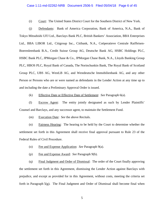#### Case 1:11-md-02262-NRB Document 2506-5 Filed 05/04/18 Page 6 of 45

(i) Court: The United States District Court for the Southern District of New York.

(j) Defendants: Bank of America Corporation, Bank of America, N.A., Bank of Tokyo Mitsubishi UFJ Ltd., Barclays Bank PLC, British Bankers' Association, BBA Enterprises Ltd., BBA LIBOR Ltd., Citigroup Inc., Citibank, N.A., Coöperatieve Centrale Raiffeisen-Boerenleenbank B.A., Credit Suisse Group AG, Deutsche Bank AG, HSBC Holdings PLC, HSBC Bank PLC, JPMorgan Chase & Co., JPMorgan Chase Bank, N.A., Lloyds Banking Group PLC, HBOS PLC, Royal Bank of Canada, The Norinchunkin Bank, The Royal Bank of Scotland Group PLC, UBS AG, WestLB AG, and Westdeutsche Immobilienbank AG, and any other Person or Persons who are or were named as defendants in the Lender Action at any time up to and including the date a Preliminary Approval Order is issued.

(k) Effective Date or Effective Date of Settlement: *See* Paragraph 6(a).

(l) Escrow Agent: The entity jointly designated as such by Lender Plaintiffs' Counsel and Barclays, and any successor agent, to maintain the Settlement Fund.

(m) Execution Date: *See* the above Recitals.

(n) Fairness Hearing: The hearing to be held by the Court to determine whether the settlement set forth in this Agreement shall receive final approval pursuant to Rule 23 of the Federal Rules of Civil Procedure.

- (o) Fee and Expense Application: *See* Paragraph 9(a).
- (p) Fee and Expense Award: *See* Paragraph 9(b).

(q) Final Judgment and Order of Dismissal: The order of the Court finally approving the settlement set forth in this Agreement, dismissing the Lender Action against Barclays with prejudice, and except as provided for in this Agreement, without costs, meeting the criteria set forth in Paragraph 5(g). The Final Judgment and Order of Dismissal shall become final when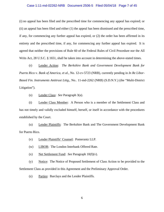#### Case 1:11-md-02262-NRB Document 2506-5 Filed 05/04/18 Page 7 of 45

(i) no appeal has been filed and the prescribed time for commencing any appeal has expired; or (ii) an appeal has been filed and either (1) the appeal has been dismissed and the prescribed time, if any, for commencing any further appeal has expired, or  $(2)$  the order has been affirmed in its entirety and the prescribed time, if any, for commencing any further appeal has expired. It is agreed that neither the provisions of Rule 60 of the Federal Rules of Civil Procedure nor the All Writs Act, 28 U.S.C. § 1651, shall be taken into account in determining the above-stated times.

(r) Lender Action: *The Berkshire Bank and Government Development Bank for Puerto Rico* v. *Bank of America, et al.*, No. 12-cv-5723 (NRB), currently pending in *In Re Libor-Based Fin. Instruments Antitrust Litig.*, No.. 11-md-2262 (NRB) (S.D.N.Y.) (the "Multi-District Litigation").

(s) Lender Class: *See* Paragraph 3(a).

(t) Lender Class Member: A Person who is a member of the Settlement Class and has not timely and validly excluded himself, herself, or itself in accordance with the procedures established by the Court.

(u) Lender Plaintiffs: The Berkshire Bank and The Government Development Bank for Puerto Rico.

- (v) Lender Plaintiffs' Counsel: Pomerantz LLP.
- (w) LIBOR: The London Interbank Offered Rate.
- (x) Net Settlement Fund: *See* Paragraph 10(f)(v).

(y) Notice: The Notice of Proposed Settlement of Class Action to be provided to the Settlement Class as provided in this Agreement and the Preliminary Approval Order.

(z) Parties: Barclays and the Lender Plaintiffs.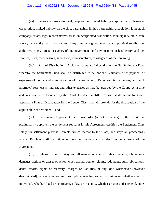# Case 1:11-md-02262-NRB Document 2506-5 Filed 05/04/18 Page 8 of 45

(aa) Person(s): An individual, corporation, limited liability corporation, professional corporation, limited liability partnership, partnership, limited partnership, association, joint stock company, estate, legal representative, trust, unincorporated association, municipality, state, state agency, any entity that is a creature of any state, any government or any political subdivision, authority, office, bureau or agency of any government, and any business or legal entity, and any spouses, heirs, predecessors, successors, representatives, or assignees of the foregoing.

(bb) Plan of Distribution: A plan or formula of allocation of the Net Settlement Fund whereby the Settlement Fund shall be distributed to Authorized Claimants after payment of expenses of notice and administration of the settlement, Taxes and tax expenses, and such attorneys' fees, costs, interest, and other expenses as may be awarded by the Court. At a time and in a manner determined by the Court, Lender Plaintiffs' Counsel shall submit for Court approval a Plan of Distribution for the Lender Class that will provide for the distribution of the applicable Net Settlement Fund.

(cc) Preliminary Approval Order: An order (or set of orders) of the Court that preliminarily approves the settlement set forth in this Agreement, certifies the Settlement Class solely for settlement purposes, directs Notice thereof to the Class, and stays all proceedings against Barclays until such time as the Court renders a final decision on approval of the Agreement.

(dd) Released Claims: Any and all manner of claims, rights, demands, obligations, damages, actions or causes of action, cross-claims, counter-claims, judgments, suits, obligations, debts, setoffs, rights of recovery, charges or liabilities of any kind whatsoever (however denominated), of every nature and description, whether known or unknown, whether class or individual, whether fixed or contingent, in law or in equity, whether arising under federal, state,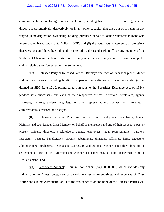# Case 1:11-md-02262-NRB Document 2506-5 Filed 05/04/18 Page 9 of 45

common, statutory or foreign law or regulation (including Rule 11, Fed. R. Civ. P.), whether directly, representatively, derivatively, or in any other capacity, that arise out of or relate in any way to (i) the origination, ownership, holding, purchase, or sale of loans or interests in loans with interest rates based upon U.S. Dollar LIBOR, and (ii) the acts, facts, statements, or omissions that were or could have been alleged or asserted by the Lender Plaintiffs or any member of the Settlement Class in the Lender Action or in any other action in any court or forum, except for claims relating to enforcement of the Settlement.

(ee) Released Party or Released Parties: Barclays and each of its past or present direct and indirect parents (including holding companies), subsidiaries, affiliates, associates (all as defined in SEC Rule 12b-2 promulgated pursuant to the Securities Exchange Act of 1934), predecessors, successors, and each of their respective officers, directors, employees, agents, attorneys, insurers, underwriters, legal or other representatives, trustees, heirs, executors, administrators, advisors, and assigns.

(ff) Releasing Party or Releasing Parties: Individually and collectively, Lender Plaintiffs and each Lender Class Member, on behalf of themselves and any of their respective past or present officers, directors, stockholders, agents, employees, legal representatives, partners, associates, trustees, beneficiaries, parents, subsidiaries, divisions, affiliates, heirs, executors, administrators, purchasers, predecessors, successors, and assigns, whether or not they object to the settlement set forth in this Agreement and whether or not they make a claim for payment from the Net Settlement Fund.

(gg) Settlement Amount: Four million dollars (\$4,000,000.00), which includes any and all attorneys' fees, costs, service awards to class representatives, and expenses of Class Notice and Claims Administration. For the avoidance of doubt, none of the Released Parties will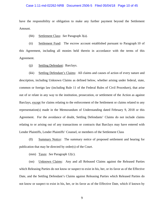#### Case 1:11-md-02262-NRB Document 2506-5 Filed 05/04/18 Page 10 of 45

have the responsibility or obligation to make any further payment beyond the Settlement Amount.

(hh) Settlement Class: *See* Paragraph 3(a).

(ii) Settlement Fund: The escrow account established pursuant to Paragraph 10 of this Agreement, including all monies held therein in accordance with the terms of this Agreement.

(jj) Settling Defendant: Barclays.

(kk) Settling Defendant's Claims: All claims and causes of action of every nature and description, including Unknown Claims as defined below, whether arising under federal, state, common or foreign law (including Rule 11 of the Federal Rules of Civil Procedure), that arise out of or relate in any way to the institution, prosecution, or settlement of the Action as against Barclays, except for claims relating to the enforcement of the Settlement or claims related to any representation(s) made in the Memorandum of Understanding dated February 9, 2018 or this Agreement. For the avoidance of doubt, Settling Defendants' Claims do not include claims relating to or arising out of any transactions or contracts that Barclays may have entered with Lender Plaintiffs, Lender Plaintiffs' Counsel, or members of the Settlement Class

(ll) Summary Notice: The summary notice of proposed settlement and hearing for publication that may be directed by order(s) of the Court.

(mm) Taxes: *See* Paragraph 12(c).

(nn) Unknown Claims: Any and all Released Claims against the Released Parties which Releasing Parties do not know or suspect to exist in his, her, or its favor as of the Effective Date, and the Settling Defendant's Claims against Releasing Parties which Released Parties do not know or suspect to exist in his, her, or its favor as of the Effective Date, which if known by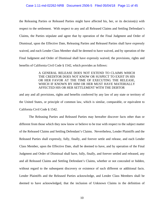#### Case 1:11-md-02262-NRB Document 2506-5 Filed 05/04/18 Page 11 of 45

the Releasing Parties or Released Parties might have affected his, her, or its decision(s) with respect to the settlement. With respect to any and all Released Claims and Settling Defendant's Claims, the Parties stipulate and agree that by operation of the Final Judgment and Order of Dismissal, upon the Effective Date, Releasing Parties and Released Parties shall have expressly waived, and each Lender Class Member shall be deemed to have waived, and by operation of the Final Judgment and Order of Dismissal shall have expressly waived, the provisions, rights and benefits of California Civil Code § 1542, which provides as follows:

# A GENERAL RELEASE DOES NOT EXTEND TO CLAIMS WHICH THE CREDITOR DOES NOT KNOW OR SUSPECT TO EXIST IN HIS OR HER FAVOR AT THE TIME OF EXECUTING THE RELEASE, WHICH IF KNOWN BY HIM OR HER MUST HAVE MATERIALLY AFFECTED HIS OR HER SETTLEMENT WITH THE DEBTOR

and any and all provisions, rights and benefits conferred by any law of any state or territory of the United States, or principle of common law, which is similar, comparable, or equivalent to California Civil Code § 1542.

The Releasing Parties and Released Parties may hereafter discover facts other than or different from those which they now know or believe to be true with respect to the subject matter of the Released Claims and Settling Defendant's Claims. Nevertheless, Lender Plaintiffs and the Released Parties shall expressly, fully, finally, and forever settle and release, and each Lender Class Member, upon the Effective Date, shall be deemed to have, and by operation of the Final Judgment and Order of Dismissal shall have, fully, finally, and forever settled and released, any and all Released Claims and Settling Defendant's Claims, whether or not concealed or hidden, without regard to the subsequent discovery or existence of such different or additional facts. Lender Plaintiffs and the Released Parties acknowledge, and Lender Class Members shall be deemed to have acknowledged, that the inclusion of Unknown Claims in the definition of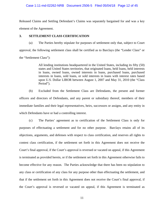#### Case 1:11-md-02262-NRB Document 2506-5 Filed 05/04/18 Page 12 of 45

Released Claims and Settling Defendant's Claims was separately bargained for and was a key element of the Agreement.

# **3. SETTLEMENT CLASS CERTIFICATION**

(a) The Parties hereby stipulate for purposes of settlement only that, subject to Court approval, the following settlement class shall be certified as to Barclays (the "Lender Class" or the "Settlement Class"):

> All lending institutions headquartered in the United States, including its fifty (50) states and United States territories, that originated loans, held loans, held interests in loans, owned loans, owned interests in loans, purchased loans, purchased interests in loans, sold loans, or sold interests in loans with interest rates based upon U.S. Dollar LIBOR between August 1, 2007 and May 31, 2010 (the "Class Period").

(b) Excluded from the Settlement Class are Defendants, the present and former officers and directors of Defendants, and any parent or subsidiary thereof, members of their immediate families and their legal representatives, heirs, successors or assigns, and any entity in which Defendants have or had a controlling interest.

(c) The Parties' agreement as to certification of the Settlement Class is only for purposes of effectuating a settlement and for no other purpose. Barclays retains all of its objections, arguments, and defenses with respect to class certification, and reserves all rights to contest class certification, if the settlement set forth in this Agreement does not receive the Court's final approval, if the Court's approval is reversed or vacated on appeal, if this Agreement is terminated as provided herein, or if the settlement set forth in this Agreement otherwise fails to become effective for any reason. The Parties acknowledge that there has been no stipulation to any class or certification of any class for any purpose other than effectuating the settlement, and that if the settlement set forth in this Agreement does not receive the Court's final approval, if the Court's approval is reversed or vacated on appeal, if this Agreement is terminated as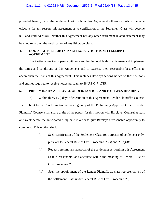### Case 1:11-md-02262-NRB Document 2506-5 Filed 05/04/18 Page 13 of 45

provided herein, or if the settlement set forth in this Agreement otherwise fails to become effective for any reason, this agreement as to certification of the Settlement Class will become null and void *ab initio*. Neither this Agreement nor any other settlement-related statement may be cited regarding the certification of any litigation class.

# **4. GOOD FAITH EFFORTS TO EFFECTUATE THIS SETTLEMENT AGREEMENT**

The Parties agree to cooperate with one another in good faith to effectuate and implement the terms and conditions of this Agreement and to exercise their reasonable best efforts to accomplish the terms of this Agreement. This includes Barclays serving notice on those persons and entities required to receive notice pursuant to 28 U.S.C. § 1715.

#### **5. PRELIMINARY APPROVAL ORDER, NOTICE, AND FAIRNESS HEARING**

(a) Within thirty (30) days of execution of this Agreement, Lender Plaintiffs' Counsel shall submit to the Court a motion requesting entry of the Preliminary Approval Order. Lender Plaintiffs' Counsel shall share drafts of the papers for this motion with Barclays' Counsel at least one week before the anticipated filing date in order to give Barclays a reasonable opportunity to comment. This motion shall:

- (i) Seek certification of the Settlement Class for purposes of settlement only, pursuant to Federal Rule of Civil Procedure 23(a) and 23(b)(3);
- (ii) Request preliminary approval of the settlement set forth in this Agreement as fair, reasonable, and adequate within the meaning of Federal Rule of Civil Procedure 23;
- (iii) Seek the appointment of the Lender Plaintiffs as class representatives of the Settlement Class under Federal Rule of Civil Procedure 23;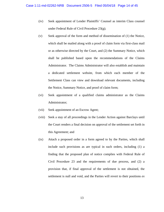- (iv) Seek appointment of Lender Plaintiffs' Counsel as interim Class counsel under Federal Rule of Civil Procedure 23(g);
- (v) Seek approval of the form and method of dissemination of (1) the Notice, which shall be mailed along with a proof of claim form via first-class mail or as otherwise directed by the Court, and (2) the Summary Notice, which shall be published based upon the recommendations of the Claims Administrator. The Claims Administrator will also establish and maintain a dedicated settlement website, from which each member of the Settlement Class can view and download relevant documents, including the Notice, Summary Notice, and proof of claim form;
- (vi) Seek appointment of a qualified claims administrator as the Claims Administrator;
- (vii) Seek appointment of an Escrow Agent;
- (viii) Seek a stay of all proceedings in the Lender Action against Barclays until the Court renders a final decision on approval of the settlement set forth in this Agreement; and
- (ix) Attach a proposed order in a form agreed to by the Parties, which shall include such provisions as are typical in such orders, including (1) a finding that the proposed plan of notice complies with Federal Rule of Civil Procedure 23 and the requirements of due process, and (2) a provision that, if final approval of the settlement is not obtained, the settlement is null and void, and the Parties will revert to their positions *ex*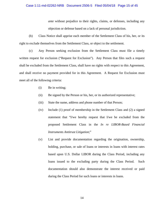#### Case 1:11-md-02262-NRB Document 2506-5 Filed 05/04/18 Page 15 of 45

*ante* without prejudice to their rights, claims, or defenses, including any objection or defense based on a lack of personal jurisdiction.

(b) Class Notice shall apprise each member of the Settlement Class of his, her, or its right to exclude themselves from the Settlement Class, or object to the settlement.

(c) Any Person seeking exclusion from the Settlement Class must file a timely written request for exclusion ("Request for Exclusion"). Any Person that files such a request shall be excluded from the Settlement Class, shall have no rights with respect to this Agreement, and shall receive no payment provided for in this Agreement. A Request for Exclusion must meet all of the following criteria:

- (i) Be in writing;
- (ii) Be signed by the Person or his, her, or its authorized representative;
- (iii) State the name, address and phone number of that Person;
- (iv) Include (1) proof of membership in the Settlement Class and (2) a signed statement that "I/we hereby request that I/we be excluded from the proposed Settlement Class in the *In re LIBOR-Based Financial Instruments Antitrust Litigation*;"
- (v) List and provide documentation regarding the origination, ownership, holding, purchase, or sale of loans or interests in loans with interest rates based upon U.S. Dollar LIBOR during the Class Period, including any loans issued to the excluding party during the Class Period. Such documentation should also demonstrate the interest received or paid during the Class Period for such loans or interests in loans.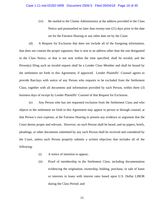(vi) Be mailed to the Claims Administrator at the address provided in the Class Notice and postmarked no later than twenty-one (21) days prior to the date set for the Fairness Hearing or any other date set by the Court.

(d) A Request for Exclusion that does not include all of the foregoing information, that does not contain the proper signature, that is sent to an address other than the one designated in the Class Notice, or that is not sent within the time specified, shall be invalid, and the Person(s) filing such an invalid request shall be a Lender Class Member and shall be bound by the settlement set forth in this Agreement, if approved. Lender Plaintiffs' Counsel agrees to provide Barclays with notice of any Person who requests to be excluded from the Settlement Class, together with all documents and information provided by such Person, within three (3) business days of receipt by Lender Plaintiffs' Counsel of that Request for Exclusion.

(e) Any Person who has not requested exclusion from the Settlement Class and who objects to the settlement set forth in this Agreement may appear in person or through counsel, at that Person's own expense, at the Fairness Hearing to present any evidence or argument that the Court deems proper and relevant. However, no such Person shall be heard, and no papers, briefs, pleadings, or other documents submitted by any such Person shall be received and considered by the Court, unless such Person properly submits a written objection that includes all of the following:

- (i) A notice of intention to appear;
- (ii) Proof of membership in the Settlement Class, including documentation evidencing the origination, ownership, holding, purchase, or sale of loans or interests in loans with interest rates based upon U.S. Dollar LIBOR during the Class Period; and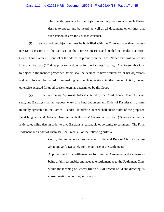(iii) The specific grounds for the objection and any reasons why such Person desires to appear and be heard, as well as all documents or writings that such Person desires the Court to consider.

(f) Such a written objection must be both filed with the Court no later than twentyone (21) days prior to the date set for the Fairness Hearing and mailed to Lender Plaintiffs' Counsel and Barclays' Counsel at the addresses provided in the Class Notice and postmarked no later than fourteen (14) days prior to the date set for the Fairness Hearing. Any Person that fails to object in the manner prescribed herein shall be deemed to have waived his or her objections and will forever be barred from making any such objections in the Lender Action, unless otherwise excused for good cause shown, as determined by the Court.

(g) If the Preliminary Approval Order is entered by the Court, Lender Plaintiffs shall seek, and Barclays shall not oppose, entry of a Final Judgment and Order of Dismissal in a form mutually agreeable to the Parties. Lender Plaintiffs' Counsel shall share drafts of the proposed Final Judgment and Order of Dismissal with Barclays' Counsel at least two (2) weeks before the anticipated filing date in order to give Barclays a reasonable opportunity to comment. The Final Judgment and Order of Dismissal shall meet all of the following criteria:

- (i) Certify the Settlement Class pursuant to Federal Rule of Civil Procedure 23(a) and 23(b)(3) solely for the purpose of the settlement;
- (ii) Approve finally the settlement set forth in this Agreement and its terms as being a fair, reasonable, and adequate settlement as to the Settlement Class within the meaning of Federal Rule of Civil Procedure 23 and directing its consummation according to its terms;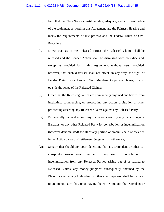- (iii) Find that the Class Notice constituted due, adequate, and sufficient notice of the settlement set forth in this Agreement and the Fairness Hearing and meets the requirements of due process and the Federal Rules of Civil Procedure;
- (iv) Direct that, as to the Released Parties, the Released Claims shall be released and the Lender Action shall be dismissed with prejudice and, except as provided for in this Agreement, without costs; provided, however, that such dismissal shall not affect, in any way, the right of Lender Plaintiffs or Lender Class Members to pursue claims, if any, outside the scope of the Released Claims;
- (v) Order that the Releasing Parties are permanently enjoined and barred from instituting, commencing, or prosecuting any action, arbitration or other proceeding asserting any Released Claims against any Released Party;
- (vi) Permanently bar and enjoin any claim or action by any Person against Barclays, or any other Released Party for contribution or indemnification (however denominated) for all or any portion of amounts paid or awarded in the Action by way of settlement, judgment, or otherwise;
- (vii) Specify that should any court determine that any Defendant or other coconspirator is/was legally entitled to any kind of contribution or indemnification from any Released Parties arising out of or related to Released Claims, any money judgment subsequently obtained by the Plaintiffs against any Defendant or other co-conspirator shall be reduced to an amount such that, upon paying the entire amount, the Defendant or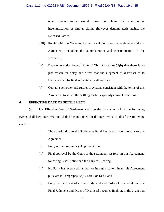other co-conspirator would have no claim for contribution, indemnification or similar claims (however denominated) against the Released Parties;

- (viii) Retain with the Court exclusive jurisdiction over the settlement and this Agreement, including the administration and consummation of the settlement;
- (ix) Determine under Federal Rule of Civil Procedure 54(b) that there is no just reason for delay and direct that the judgment of dismissal as to Barclays shall be final and entered forthwith; and
- (x) Contain such other and further provisions consistent with the terms of this Agreement to which the Settling Parties expressly consent in writing.

# **6. EFFECTIVE DATE OF SETTLEMENT**

(a) The Effective Date of Settlement shall be the date when all of the following events shall have occurred and shall be conditioned on the occurrence of all of the following events:

- (i) The contribution to the Settlement Fund has been made pursuant to this Agreement;
- (ii) Entry of the Preliminary Approval Order;
- (iii) Final approval by the Court of the settlement set forth in this Agreement, following Class Notice and the Fairness Hearing;
- (iv) No Party has exercised his, her, or its rights to terminate this Agreement pursuant to Paragraphs  $10(c)$ ,  $13(a)$ , or  $13(b)$ ; and
- (v) Entry by the Court of a Final Judgment and Order of Dismissal, and the Final Judgment and Order of Dismissal becomes final, or, in the event that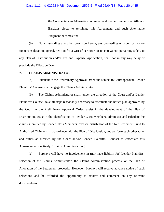the Court enters an Alternative Judgment and neither Lender Plaintiffs nor Barclays elects to terminate this Agreement, and such Alternative Judgment becomes final.

(b) Notwithstanding any other provision herein, any proceeding or order, or motion for reconsideration, appeal, petition for a writ of certiorari or its equivalent, pertaining solely to any Plan of Distribution and/or Fee and Expense Application, shall not in any way delay or preclude the Effective Date.

# **7. CLAIMS ADMINISTRATOR**

(a) Pursuant to the Preliminary Approval Order and subject to Court approval, Lender Plaintiffs' Counsel shall engage the Claims Administrator.

(b) The Claims Administrator shall, under the direction of the Court and/or Lender Plaintiffs' Counsel, take all steps reasonably necessary to effectuate the notice plan approved by the Court in the Preliminary Approval Order, assist in the development of the Plan of Distribution, assist in the identification of Lender Class Members, administer and calculate the claims submitted by Lender Class Members, oversee distribution of the Net Settlement Fund to Authorized Claimants in accordance with the Plan of Distribution, and perform such other tasks and duties as directed by the Court and/or Lender Plaintiffs' Counsel to effectuate this Agreement (collectively, "Claims Administration").

(c) Barclays will have no involvement in (nor have liability for) Lender Plaintiffs' selection of the Claims Administrator, the Claims Administration process, or the Plan of Allocation of the Settlement proceeds. However, Barclays will receive advance notice of such selections and be afforded the opportunity to review and comment on any relevant documentation.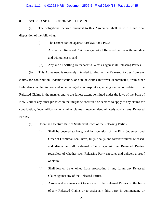# **8. SCOPE AND EFFECT OF SETTLEMENT**

(a) The obligations incurred pursuant to this Agreement shall be in full and final disposition of the following:

- (i) The Lender Action against Barclays Bank PLC;
- (ii) Any and all Released Claims as against all Released Parties with prejudice and without costs; and
- (iii) Any and all Settling Defendant's Claims as against all Releasing Parties.

(b) This Agreement is expressly intended to absolve the Released Parties from any claims for contribution, indemnification, or similar claims (however denominated) from other Defendants in the Action and other alleged co-conspirators, arising out of or related to the Released Claims in the manner and to the fullest extent permitted under the laws of the State of New York or any other jurisdiction that might be construed or deemed to apply to any claims for contribution, indemnification or similar claims (however denominated) against any Released Parties.

- (c) Upon the Effective Date of Settlement, each of the Releasing Parties:
	- (i) Shall be deemed to have, and by operation of the Final Judgment and Order of Dismissal, shall have, fully, finally, and forever waived, released, and discharged all Released Claims against the Released Parties, regardless of whether such Releasing Party executes and delivers a proof of claim;
	- (ii) Shall forever be enjoined from prosecuting in any forum any Released Claim against any of the Released Parties;
	- (iii) Agrees and covenants not to sue any of the Released Parties on the basis of any Released Claims or to assist any third party in commencing or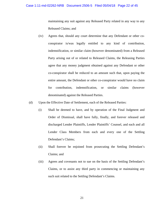maintaining any suit against any Released Party related in any way to any Released Claims; and

- (iv) Agrees that, should any court determine that any Defendant or other coconspirator is/was legally entitled to any kind of contribution, indemnification, or similar claim (however denominated) from a Released Party arising out of or related to Released Claims, the Releasing Parties agree that any money judgment obtained against any Defendant or other co-conspirator shall be reduced to an amount such that, upon paying the entire amount, the Defendant or other co-conspirator would have no claim for contribution, indemnification, or similar claims (however denominated) against the Released Parties.
- (d) Upon the Effective Date of Settlement, each of the Released Parties:
	- (i) Shall be deemed to have, and by operation of the Final Judgment and Order of Dismissal, shall have fully, finally, and forever released and discharged Lender Plaintiffs, Lender Plaintiffs' Counsel, and each and all Lender Class Members from each and every one of the Settling Defendant's Claims;
	- (ii) Shall forever be enjoined from prosecuting the Settling Defendant's Claims; and
	- (iii) Agrees and covenants not to sue on the basis of the Settling Defendant's Claims, or to assist any third party in commencing or maintaining any such suit related to the Settling Defendant's Claims.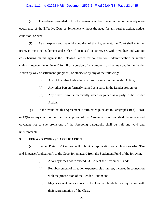#### Case 1:11-md-02262-NRB Document 2506-5 Filed 05/04/18 Page 23 of 45

(e) The releases provided in this Agreement shall become effective immediately upon occurrence of the Effective Date of Settlement without the need for any further action, notice, condition, or event.

(f) As an express and material condition of this Agreement, the Court shall enter an order, in the Final Judgment and Order of Dismissal or otherwise, with prejudice and without costs barring claims against the Released Parties for contribution, indemnification or similar claims (however denominated) for all or a portion of any amounts paid or awarded in the Lender Action by way of settlement, judgment, or otherwise by any of the following:

- (i) Any of the other Defendants currently named in the Lender Action;
- (ii) Any other Person formerly named as a party in the Lender Action; or
- (iii) Any other Person subsequently added or joined as a party in the Lender Action.

(g) In the event that this Agreement is terminated pursuant to Paragraphs  $10(c)$ ,  $13(a)$ , or 13(b), or any condition for the final approval of this Agreement is not satisfied, the release and covenant not to sue provisions of the foregoing paragraphs shall be null and void and unenforceable.

#### **9. FEE AND EXPENSE APPLICATION**

(a) Lender Plaintiffs' Counsel will submit an application or applications (the "Fee and Expense Application") to the Court for an award from the Settlement Fund of the following:

- (i) Attorneys' fees not to exceed 33-1/3% of the Settlement Fund;
- (ii) Reimbursement of litigation expenses, plus interest, incurred in connection with the prosecution of the Lender Action; and
- (iii) May also seek service awards for Lender Plaintiffs in conjunction with their representation of the Class.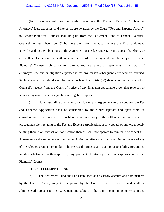#### Case 1:11-md-02262-NRB Document 2506-5 Filed 05/04/18 Page 24 of 45

(b) Barclays will take no position regarding the Fee and Expense Application. Attorneys' fees, expenses, and interest as are awarded by the Court ("Fee and Expense Award") to Lender Plaintiffs' Counsel shall be paid from the Settlement Fund to Lender Plaintiffs' Counsel no later than five (5) business days after the Court enters the Final Judgment, notwithstanding any objections to the Agreement or the fee request, or any appeal therefrom, or any collateral attack on the settlement or fee award. This payment shall be subject to Lender Plaintiffs' Counsel's obligation to make appropriate refund or repayment if the award of attorneys' fees and/or litigation expenses is for any reason subsequently reduced or reversed. Such repayment or refund shall be made no later than thirty (30) days after Lender Plaintiffs' Counsel's receipt from the Court of notice of any final non-appealable order that reverses or reduces any award of attorneys' fees or litigation expenses.

(c) Notwithstanding any other provision of this Agreement to the contrary, the Fee and Expense Application shall be considered by the Court separate and apart from its consideration of the fairness, reasonableness, and adequacy of the settlement, and any order or proceeding solely relating to the Fee and Expense Application, or any appeal of any order solely relating thereto or reversal or modification thereof, shall not operate to terminate or cancel this Agreement or the settlement of the Lender Action, or affect the finality or binding nature of any of the releases granted hereunder. The Released Parties shall have no responsibility for, and no liability whatsoever with respect to, any payment of attorneys' fees or expenses to Lender Plaintiffs' Counsel.

#### **10. THE SETTLEMENT FUND**

(a) The Settlement Fund shall be established as an escrow account and administered by the Escrow Agent, subject to approval by the Court. The Settlement Fund shall be administered pursuant to this Agreement and subject to the Court's continuing supervision and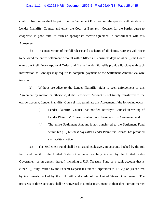#### Case 1:11-md-02262-NRB Document 2506-5 Filed 05/04/18 Page 25 of 45

control. No monies shall be paid from the Settlement Fund without the specific authorization of Lender Plaintiffs' Counsel and either the Court or Barclays. Counsel for the Parties agree to cooperate, in good faith, to form an appropriate escrow agreement in conformance with this Agreement.

(b) In consideration of the full release and discharge of all claims, Barclays will cause to be wired the entire Settlement Amount within fifteen (15) business days of when (i) the Court enters the Preliminary Approval Order, and (ii) the Lender Plaintiffs provide Barclays with such information as Barclays may require to complete payment of the Settlement Amount via wire transfer.

(c) Without prejudice to the Lender Plaintiffs' right to seek enforcement of this Agreement by motion or otherwise, if the Settlement Amount is not timely transferred to the escrow account, Lender Plaintiffs' Counsel may terminate this Agreement if the following occur:

- (i) Lender Plaintiffs' Counsel has notified Barclays' Counsel in writing of Lender Plaintiffs' Counsel's intention to terminate this Agreement; and
- (ii) The entire Settlement Amount is not transferred to the Settlement Fund within ten (10) business days after Lender Plaintiffs' Counsel has provided such written notice.

(d) The Settlement Fund shall be invested exclusively in accounts backed by the full faith and credit of the United States Government or fully insured by the United States Government or an agency thereof, including a U.S. Treasury Fund or a bank account that is either: (i) fully insured by the Federal Deposit Insurance Corporation ("FDIC"); or (ii) secured by instruments backed by the full faith and credit of the United States Government. The proceeds of these accounts shall be reinvested in similar instruments at their then-current market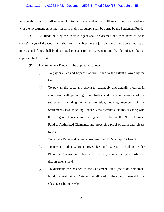#### Case 1:11-md-02262-NRB Document 2506-5 Filed 05/04/18 Page 26 of 45

rates as they mature. All risks related to the investment of the Settlement Fund in accordance with the investment guidelines set forth in this paragraph shall be borne by the Settlement Fund.

(e) All funds held by the Escrow Agent shall be deemed and considered to be in *custodia legis* of the Court, and shall remain subject to the jurisdiction of the Court, until such time as such funds shall be distributed pursuant to this Agreement and the Plan of Distribution approved by the Court.

- (f) The Settlement Fund shall be applied as follows:
	- (i) To pay any Fee and Expense Award, if and to the extent allowed by the Court;
	- (ii) To pay all the costs and expenses reasonably and actually incurred in connection with providing Class Notice and the administration of the settlement, including, without limitation, locating members of the Settlement Class, soliciting Lender Class Members' claims, assisting with the filing of claims, administering and distributing the Net Settlement Fund to Authorized Claimants, and processing proof of claim and release forms;
	- (iii) To pay the Taxes and tax expenses described in Paragraph 12 hereof;
	- (iv) To pay any other Court approved fees and expenses including Lender Plaintiffs' Counsel out-of-pocket expenses, compensatory awards and disbursements; and
	- (v) To distribute the balance of the Settlement Fund (the "Net Settlement Fund") to Authorized Claimants as allowed by the Court pursuant to the Class Distribution Order.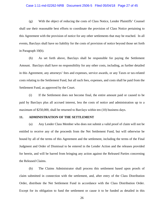#### Case 1:11-md-02262-NRB Document 2506-5 Filed 05/04/18 Page 27 of 45

(g) With the object of reducing the costs of Class Notice, Lender Plaintiffs' Counsel shall use their reasonable best efforts to coordinate the provision of Class Notice pertaining to this Agreement with the provision of notice for any other settlements that may be reached. In all events, Barclays shall have no liability for the costs of provision of notice beyond those set forth in Paragraph 10(b).

(h) As set forth above, Barclays shall be responsible for paying the Settlement Amount. Barclays shall have no responsibility for any other costs, including, as further detailed in this Agreement, any attorneys' fees and expenses, service awards, or any Taxes or tax-related costs relating to the Settlement Fund, but all such fees, expenses, and costs shall be paid from the Settlement Fund, as approved by the Court.

(i) If the Settlement does not become final, the entire amount paid or caused to be paid by Barclays plus all accrued interest, less the costs of notice and administration up to a maximum of \$250,000, shall be returned to Barclays within ten (10) business days.

# **11. ADMINISTRATION OF THE SETTLEMENT**

(a) Any Lender Class Member who does not submit a valid proof of claim will not be entitled to receive any of the proceeds from the Net Settlement Fund, but will otherwise be bound by all of the terms of this Agreement and the settlement, including the terms of the Final Judgment and Order of Dismissal to be entered in the Lender Action and the releases provided for herein, and will be barred from bringing any action against the Released Parties concerning the Released Claims.

(b) The Claims Administrator shall process this settlement based upon proofs of claim submitted in connection with the settlement, and, after entry of the Class Distribution Order, distribute the Net Settlement Fund in accordance with the Class Distribution Order. Except for its obligation to fund the settlement or cause it to be funded as detailed in this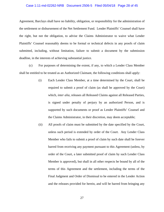#### Case 1:11-md-02262-NRB Document 2506-5 Filed 05/04/18 Page 28 of 45

Agreement, Barclays shall have no liability, obligation, or responsibility for the administration of the settlement or disbursement of the Net Settlement Fund. Lender Plaintiffs' Counsel shall have the right, but not the obligation, to advise the Claims Administrator to waive what Lender Plaintiffs' Counsel reasonably deems to be formal or technical defects in any proofs of claim submitted, including, without limitation, failure to submit a document by the submission deadline, in the interests of achieving substantial justice.

(c) For purposes of determining the extent, if any, to which a Lender Class Member shall be entitled to be treated as an Authorized Claimant, the following conditions shall apply:

- (i) Each Lender Class Member, at a time determined by the Court, shall be required to submit a proof of claim (as shall be approved by the Court) which, *inter alia*, releases all Released Claims against all Released Parties, is signed under penalty of perjury by an authorized Person, and is supported by such documents or proof as Lender Plaintiffs' Counsel and the Claims Administrator, in their discretion, may deem acceptable;
- (ii) All proofs of claim must be submitted by the date specified by the Court, unless such period is extended by order of the Court. Any Lender Class Member who fails to submit a proof of claim by such date shall be forever barred from receiving any payment pursuant to this Agreement (unless, by order of the Court, a later submitted proof of claim by such Lender Class Member is approved), but shall in all other respects be bound by all of the terms of this Agreement and the settlement, including the terms of the Final Judgment and Order of Dismissal to be entered in the Lender Action and the releases provided for herein, and will be barred from bringing any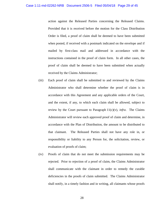action against the Released Parties concerning the Released Claims. Provided that it is received before the motion for the Class Distribution Order is filed, a proof of claim shall be deemed to have been submitted when posted, if received with a postmark indicated on the envelope and if mailed by first-class mail and addressed in accordance with the instructions contained in the proof of claim form. In all other cases, the proof of claim shall be deemed to have been submitted when actually received by the Claims Administrator;

- (iii) Each proof of claim shall be submitted to and reviewed by the Claims Administrator who shall determine whether the proof of claim is in accordance with this Agreement and any applicable orders of the Court, and the extent, if any, to which each claim shall be allowed, subject to review by the Court pursuant to Paragraph  $11(c)(v)$ , *infra*. The Claims Administrator will review each approved proof of claim and determine, in accordance with the Plan of Distribution, the amount to be distributed to that claimant. The Released Parties shall not have any role in, or responsibility or liability to any Person for, the solicitation, review, or evaluation of proofs of claim;
- (iv) Proofs of claim that do not meet the submission requirements may be rejected. Prior to rejection of a proof of claim, the Claims Administrator shall communicate with the claimant in order to remedy the curable deficiencies in the proofs of claim submitted. The Claims Administrator shall notify, in a timely fashion and in writing, all claimants whose proofs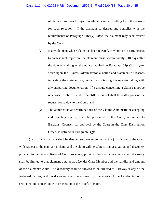of claim it proposes to reject, in whole or in part, setting forth the reasons for such rejection. If the claimant so desires and complies with the requirements of Paragraph  $11(c)(v)$ , *infra*, the claimant may seek review by the Court;

- (v) If any claimant whose claim has been rejected, in whole or in part, desires to contest such rejection, the claimant must, within twenty (20) days after the date of mailing of the notice required in Paragraph 11(c)(iv), *supra*, serve upon the Claims Administrator a notice and statement of reasons indicating the claimant's grounds for contesting the rejection along with any supporting documentation. If a dispute concerning a claim cannot be otherwise resolved, Lender Plaintiffs' Counsel shall thereafter present the request for review to the Court; and
- (vi) The administrative determinations of the Claims Administrator accepting and rejecting claims, shall be presented to the Court, on notice to Barclays' Counsel, for approval by the Court in the Class Distribution Order (as defined in Paragraph 2(g)).

(d) Each claimant shall be deemed to have submitted to the jurisdiction of the Court with respect to the claimant's claim, and the claim will be subject to investigation and discovery pursuant to the Federal Rules of Civil Procedure, provided that such investigation and discovery shall be limited to that claimant's status as a Lender Class Member and the validity and amount of the claimant's claim. No discovery shall be allowed to be directed to Barclays or any of the Released Parties, and no discovery shall be allowed on the merits of the Lender Action or settlement in connection with processing of the proofs of claim.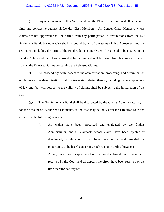#### Case 1:11-md-02262-NRB Document 2506-5 Filed 05/04/18 Page 31 of 45

(e) Payment pursuant to this Agreement and the Plan of Distribution shall be deemed final and conclusive against all Lender Class Members. All Lender Class Members whose claims are not approved shall be barred from any participation in distributions from the Net Settlement Fund, but otherwise shall be bound by all of the terms of this Agreement and the settlement, including the terms of the Final Judgment and Order of Dismissal to be entered in the Lender Action and the releases provided for herein, and will be barred from bringing any action against the Released Parties concerning the Released Claims.

(f) All proceedings with respect to the administration, processing, and determination of claims and the determination of all controversies relating thereto, including disputed questions of law and fact with respect to the validity of claims, shall be subject to the jurisdiction of the Court.

(g) The Net Settlement Fund shall be distributed by the Claims Administrator to, or for the account of, Authorized Claimants, as the case may be, only after the Effective Date and after all of the following have occurred:

- (i) All claims have been processed and evaluated by the Claims Administrator, and all claimants whose claims have been rejected or disallowed, in whole or in part, have been notified and provided the opportunity to be heard concerning such rejection or disallowance;
- (ii) All objections with respect to all rejected or disallowed claims have been resolved by the Court and all appeals therefrom have been resolved or the time therefor has expired;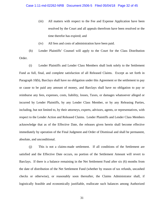- (iii) All matters with respect to the Fee and Expense Application have been resolved by the Court and all appeals therefrom have been resolved or the time therefor has expired; and
- (iv) All fees and costs of administration have been paid.

(h) Lender Plaintiffs' Counsel will apply to the Court for the Class Distribution Order.

(i) Lender Plaintiffs and Lender Class Members shall look solely to the Settlement Fund as full, final, and complete satisfaction of all Released Claims. Except as set forth in Paragraph 10(b), Barclays shall have no obligation under this Agreement or the settlement to pay or cause to be paid any amount of money, and Barclays shall have no obligation to pay or reimburse any fees, expenses, costs, liability, losses, Taxes, or damages whatsoever alleged or incurred by Lender Plaintiffs, by any Lender Class Member, or by any Releasing Parties, including, but not limited to, by their attorneys, experts, advisors, agents, or representatives, with respect to the Lender Action and Released Claims. Lender Plaintiffs and Lender Class Members acknowledge that as of the Effective Date, the releases given herein shall become effective immediately by operation of the Final Judgment and Order of Dismissal and shall be permanent, absolute, and unconditional.

(j) This is not a claims-made settlement. If all conditions of the Settlement are satisfied and the Effective Date occurs, no portion of the Settlement Amount will revert to Barclays. If there is a balance remaining in the Net Settlement Fund after six (6) months from the date of distribution of the Net Settlement Fund (whether by reason of tax refunds, uncashed checks or otherwise), or reasonably soon thereafter, the Claims Administrator shall, if logistically feasible and economically justifiable, reallocate such balances among Authorized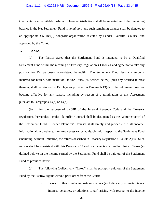#### Case 1:11-md-02262-NRB Document 2506-5 Filed 05/04/18 Page 33 of 45

Claimants in an equitable fashion. These redistributions shall be repeated until the remaining balance in the Net Settlement Fund is *de minimis* and such remaining balance shall be donated to an appropriate  $\S 501(c)(3)$  nonprofit organization selected by Lender Plaintiffs' Counsel and approved by the Court.

# **12. TAXES**

(a) The Parties agree that the Settlement Fund is intended to be a Qualified Settlement Fund within the meaning of Treasury Regulation § l.468B-1 and agree not to take any position for Tax purposes inconsistent therewith. The Settlement Fund, less any amounts incurred for notice, administration, and/or Taxes (as defined below), plus any accrued interest thereon, shall be returned to Barclays as provided in Paragraph 13(d), if the settlement does not become effective for any reason, including by reason of a termination of this Agreement pursuant to Paragraphs 13(a) or 13(b).

(b) For the purpose of § 468B of the Internal Revenue Code and the Treasury regulations thereunder, Lender Plaintiffs' Counsel shall be designated as the "administrator" of the Settlement Fund. Lender Plaintiffs' Counsel shall timely and properly file all income, informational, and other tax returns necessary or advisable with respect to the Settlement Fund (including, without limitation, the returns described in Treasury Regulation  $\S 1.468B-2(k)$ ). Such returns shall be consistent with this Paragraph 12 and in all events shall reflect that all Taxes (as defined below) on the income earned by the Settlement Fund shall be paid out of the Settlement Fund as provided herein.

(c) The following (collectively "Taxes") shall be promptly paid out of the Settlement Fund by the Escrow Agent without prior order from the Court:

> (i) Taxes or other similar imposts or charges (including any estimated taxes, interest, penalties, or additions to tax) arising with respect to the income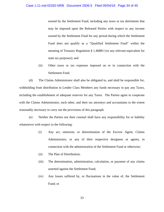earned by the Settlement Fund, including any taxes or tax detriments that may be imposed upon the Released Parties with respect to any income earned by the Settlement Fund for any period during which the Settlement Fund does not qualify as a "Qualified Settlement Fund" within the meaning of Treasury Regulation § 1.468B-l (or any relevant equivalent for state tax purposes); and

(ii) Other taxes or tax expenses imposed on or in connection with the Settlement Fund.

(d) The Claims Administrator shall also be obligated to, and shall be responsible for, withholding from distribution to Lender Class Members any funds necessary to pay any Taxes, including the establishment of adequate reserves for any Taxes. The Parties agree to cooperate with the Claims Administrator, each other, and their tax attorneys and accountants to the extent reasonably necessary to carry out the provisions of this paragraph.

(e) Neither the Parties nor their counsel shall have any responsibility for or liability whatsoever with respect to the following:

- (i) Any act, omission, or determination of the Escrow Agent, Claims Administrator, or any of their respective designees or agents, in connection with the administration of the Settlement Fund or otherwise;
- (ii) The Plan of Distribution;
- (iii) The determination, administration, calculation, or payment of any claims asserted against the Settlement Fund;
- (iv) Any losses suffered by, or fluctuations in the value of, the Settlement Fund; or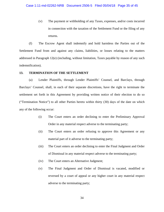(v) The payment or withholding of any Taxes, expenses, and/or costs incurred in connection with the taxation of the Settlement Fund or the filing of any returns.

(f) The Escrow Agent shall indemnify and hold harmless the Parties out of the Settlement Fund from and against any claims, liabilities, or losses relating to the matters addressed in Paragraph 12(e) (including, without limitation, Taxes payable by reason of any such indemnification).

# **13. TERMINATION OF THE SETTLEMENT**

(a) Lender Plaintiffs, through Lender Plaintiffs' Counsel, and Barclays, through Barclays' Counsel, shall, in each of their separate discretions, have the right to terminate the settlement set forth in this Agreement by providing written notice of their election to do so ("Termination Notice") to all other Parties hereto within thirty (30) days of the date on which any of the following occur:

- (i) The Court enters an order declining to enter the Preliminary Approval Order in any material respect adverse to the terminating party;
- (ii) The Court enters an order refusing to approve this Agreement or any material part of it adverse to the terminating party;
- (iii) The Court enters an order declining to enter the Final Judgment and Order of Dismissal in any material respect adverse to the terminating party;
- (iv) The Court enters an Alternative Judgment;
- (v) The Final Judgment and Order of Dismissal is vacated, modified or reversed by a court of appeal or any higher court in any material respect adverse to the terminating party;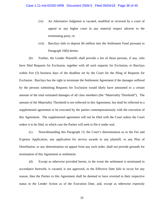- (vi) An Alternative Judgment is vacated, modified or reversed by a court of appeal or any higher court in any material respect adverse to the terminating party; or
- (vii) Barclays fails to deposit \$4 million into the Settlement Fund pursuant to Paragraph 10(b) hereto.

(b) Further, the Lender Plaintiffs shall provide a list of those persons, if any, who have filed Requests for Exclusion, together with all such requests for Exclusion, to Barclays within five (5) business days of the deadline set by the Court for the filing of Requests for Exclusion. Barclays has the right to terminate the Settlement Agreement if the damages suffered by the persons submitting Requests for Exclusion would likely have amounted to a certain amount of the total estimated damages of all class members (the "Materiality Threshold"). The amount of the Materiality Threshold is not reflected in this Agreement, but shall be reflected in a supplemental agreement to be executed by the parties contemporaneously with the execution of this Agreement. The supplemental agreement will not be filed with the Court unless the Court orders it to be filed, in which case the Parties will seek to file it under seal.

(c) Notwithstanding this Paragraph 13, the Court's determination as to the Fee and Expense Application, any application for service awards to any plaintiff, or any Plan of Distribution, or any determination on appeal from any such order, shall not provide grounds for termination of this Agreement or settlement.

(d) Except as otherwise provided herein, in the event the settlement is terminated in accordance herewith, is vacated, is not approved, or the Effective Date fails to occur for any reason, then the Parties to this Agreement shall be deemed to have reverted to their respective status in the Lender Action as of the Execution Date, and, except as otherwise expressly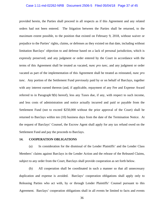# Case 1:11-md-02262-NRB Document 2506-5 Filed 05/04/18 Page 37 of 45

provided herein, the Parties shall proceed in all respects as if this Agreement and any related orders had not been entered. The litigation between the Parties shall be returned, to the maximum extent possible, to the position that existed on February 9, 2018, without waiver or prejudice to the Parties' rights, claims, or defenses as they existed on that date, including without limitation Barclays' objection to and defense based on a lack of personal jurisdiction, which is expressly preserved; and any judgment or order entered by the Court in accordance with the terms of this Agreement shall be treated as vacated, *nunc pro tunc,* and any judgment or order vacated as part of the implementation of this Agreement shall be treated as reinstated, *nunc pro tunc.* Any portion of the Settlement Fund previously paid by or on behalf of Barclays, together with any interest earned thereon (and, if applicable, repayment of any Fee and Expense Award referred to in Paragraph 9(b) hereof), less any Taxes due, if any, with respect to such income, and less costs of administration and notice actually incurred and paid or payable from the Settlement Fund (not to exceed \$250,000 without the prior approval of the Court) shall be returned to Barclays within ten (10) business days from the date of the Termination Notice. At the request of Barclays' Counsel, the Escrow Agent shall apply for any tax refund owed on the Settlement Fund and pay the proceeds to Barclays.

#### **14. COOPERATION OBLIGATIONS**

(a) In consideration for the dismissal of the Lender Plaintiffs' and the Lender Class Members' claims against Barclays in the Lender Action and the release of the Released Claims, subject to any order from the Court, Barclays shall provide cooperation as set forth below.

(b) All cooperation shall be coordinated in such a manner so that all unnecessary duplication and expense is avoided. Barclays' cooperation obligations shall apply only to Releasing Parties who act with, by or through Lender Plaintiffs' Counsel pursuant to this Agreement. Barclays' cooperation obligations shall in all events be limited to facts and events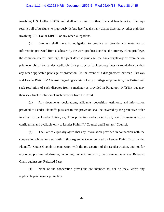#### Case 1:11-md-02262-NRB Document 2506-5 Filed 05/04/18 Page 38 of 45

involving U.S. Dollar LIBOR and shall not extend to other financial benchmarks. Barclays reserves all of its rights to vigorously defend itself against any claims asserted by other plaintiffs involving U.S. Dollar LIBOR, or any other, allegations.

(c) Barclays shall have no obligation to produce or provide any materials or information protected from disclosure by the work-product doctrine, the attorney-client privilege, the common interest privilege, the joint defense privilege, the bank regulatory or examination privilege, obligations under applicable data privacy or bank secrecy laws or regulations, and/or any other applicable privilege or protection. In the event of a disagreement between Barclays and Lender Plaintiffs' Counsel regarding a claim of any privilege or protection, the Parties will seek resolution of such disputes from a mediator as provided in Paragraph  $14(f)(iii)$ , but may then seek final resolution of such disputes from the Court.

(d) Any documents, declarations, affidavits, deposition testimony, and information provided to Lender Plaintiffs pursuant to this provision shall be covered by the protective order in effect in the Lender Action, or, if no protective order is in effect, shall be maintained as confidential and available only to Lender Plaintiffs' Counsel and Barclays' Counsel.

(e) The Parties expressly agree that any information provided in connection with the cooperation obligations set forth in this Agreement may be used by Lender Plaintiffs or Lender Plaintiffs' Counsel solely in connection with the prosecution of the Lender Action, and not for any other purpose whatsoever, including, but not limited to, the prosecution of any Released Claim against any Released Party.

(f) None of the cooperation provisions are intended to, nor do they, waive any applicable privilege or protection.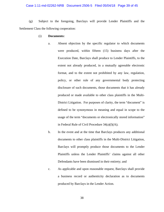#### Case 1:11-md-02262-NRB Document 2506-5 Filed 05/04/18 Page 39 of 45

(g) Subject to the foregoing, Barclays will provide Lender Plaintiffs and the Settlement Class the following cooperation:

- (i) **Documents:** 
	- a. Absent objection by the specific regulator to which documents were produced, within fifteen (15) business days after the Execution Date, Barclays shall produce to Lender Plaintiffs, to the extent not already produced, in a mutually agreeable electronic format, and to the extent not prohibited by any law, regulation, policy, or other rule of any governmental body protecting disclosure of such documents, those documents that it has already produced or made available to other class plaintiffs in the Multi-District Litigation. For purposes of clarity, the term "document" is defined to be synonymous in meaning and equal in scope to the usage of the term "documents or electronically stored information" in Federal Rule of Civil Procedure  $34(a)(1)(A);$
	- b. In the event and at the time that Barclays produces any additional documents to other class plaintiffs in the Multi-District Litigation, Barclays will promptly produce those documents to the Lender Plaintiffs unless the Lender Plaintiffs' claims against all other Defendants have been dismissed in their entirety; and
	- c. As applicable and upon reasonable request, Barclays shall provide a business record or authenticity declaration as to documents produced by Barclays in the Lender Action.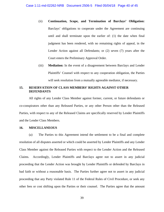- (ii) **Continuation, Scope, and Termination of Barclays' Obligation:**  Barclays' obligations to cooperate under the Agreement are continuing until and shall terminate upon the earlier of: (1) the date when final judgment has been rendered, with no remaining rights of appeal, in the Lender Action against all Defendants; or (2) seven (7) years after the Court enters the Preliminary Approval Order.
- (iii) **Mediation:** In the event of a disagreement between Barclays and Lender Plaintiffs' Counsel with respect to any cooperation obligation, the Parties will seek resolution from a mutually agreeable mediator, if necessary.

# **15. RESERVATION OF CLASS MEMBERS' RIGHTS AGAINST OTHER DEFENDANTS**

All rights of any Lender Class Member against former, current, or future defendants or co-conspirators other than any Released Parties, or any other Person other than the Released Parties, with respect to any of the Released Claims are specifically reserved by Lender Plaintiffs and the Lender Class Members.

#### **16. MISCELLANEOUS**

(a) The Parties to this Agreement intend the settlement to be a final and complete resolution of all disputes asserted or which could be asserted by Lender Plaintiffs and any Lender Class Member against the Released Parties with respect to the Lender Action and the Released Claims. Accordingly, Lender Plaintiffs and Barclays agree not to assert in any judicial proceeding that the Lender Action was brought by Lender Plaintiffs or defended by Barclays in bad faith or without a reasonable basis. The Parties further agree not to assert in any judicial proceeding that any Party violated Rule 11 of the Federal Rules of Civil Procedure, or seek any other fees or cost shifting upon the Parties or their counsel. The Parties agree that the amount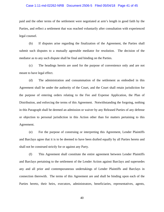#### Case 1:11-md-02262-NRB Document 2506-5 Filed 05/04/18 Page 41 of 45

paid and the other terms of the settlement were negotiated at arm's length in good faith by the Parties, and reflect a settlement that was reached voluntarily after consultation with experienced legal counsel.

(b) If disputes arise regarding the finalization of the Agreement, the Parties shall submit such disputes to a mutually agreeable mediator for resolution. The decision of the mediator as to any such dispute shall be final and binding on the Parties.

(c) The headings herein are used for the purpose of convenience only and are not meant to have legal effect.

(d) The administration and consummation of the settlement as embodied in this Agreement shall be under the authority of the Court, and the Court shall retain jurisdiction for the purpose of entering orders relating to the Fee and Expense Application, the Plan of Distribution, and enforcing the terms of this Agreement. Notwithstanding the forgoing, nothing in this Paragraph shall be deemed an admission or waiver by any Released Parties of any defense or objection to personal jurisdiction in this Action other than for matters pertaining to this Agreement.

(e) For the purpose of construing or interpreting this Agreement, Lender Plaintiffs and Barclays agree that it is to be deemed to have been drafted equally by all Parties hereto and shall not be construed strictly for or against any Party.

(f) This Agreement shall constitute the entire agreement between Lender Plaintiffs and Barclays pertaining to the settlement of the Lender Action against Barclays and supersedes any and all prior and contemporaneous undertakings of Lender Plaintiffs and Barclays in connection therewith. The terms of this Agreement are and shall be binding upon each of the Parties hereto, their heirs, executors, administrators, beneficiaries, representatives, agents,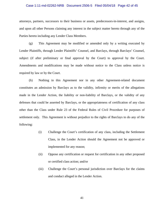#### Case 1:11-md-02262-NRB Document 2506-5 Filed 05/04/18 Page 42 of 45

attorneys, partners, successors to their business or assets, predecessors-in-interest, and assigns, and upon all other Persons claiming any interest in the subject matter hereto through any of the Parties hereto including any Lender Class Members.

(g) This Agreement may be modified or amended only by a writing executed by Lender Plaintiffs, through Lender Plaintiffs' Counsel, and Barclays, through Barclays' Counsel, subject (if after preliminary or final approval by the Court) to approval by the Court. Amendments and modifications may be made without notice to the Class unless notice is required by law or by the Court.

(h) Nothing in this Agreement nor in any other Agreement-related document constitutes an admission by Barclays as to the validity, infirmity or merits of the allegations made in the Lender Action, the liability or non-liability of Barclays, or the validity of any defenses that could be asserted by Barclays, or the appropriateness of certification of any class other than the Class under Rule 23 of the Federal Rules of Civil Procedure for purposes of settlement only. This Agreement is without prejudice to the rights of Barclays to do any of the following:

- (i) Challenge the Court's certification of any class, including the Settlement Class, in the Lender Action should the Agreement not be approved or implemented for any reason;
- (ii) Oppose any certification or request for certification in any other proposed or certified class action; and/or
- (iii) Challenge the Court's personal jurisdiction over Barclays for the claims and conduct alleged in the Lender Action.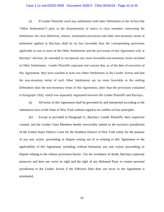# Case 1:11-md-02262-NRB Document 2506-5 Filed 05/04/18 Page 43 of 45

(i) If Lender Plaintiffs reach any settlements with other Defendants in the Action (the "Other Settlements") prior to the dissemination of notice to class members concerning the Settlement, the class definition, release, termination provisions and other non-monetary terms of settlement applied to Barclays shall be no less favorable than the corresponding provisions applicable to one or more of the Other Settlements and the provisions of this Agreement will, at Barclays' election, be amended to incorporate any more favorable non-monetary terms included in Other Settlements. Lender Plaintiffs represent and warrant that, as of the date of execution of this Agreement, they have reached at least two Other Settlements in the Lender Action and that the non-monetary terms of such Other Settlements are no more favorable to the settling Defendants than the non-monetary terms of this Agreement, other than the provisions contained in Paragraph 13(b), which was separately negotiated between the Lender Plaintiffs and Barclays.

(j) All terms of this Agreement shall be governed by and interpreted according to the substantive laws of the State of New York without regard to its conflict-of-law principles.

(k) Except as provided in Paragraph 11, Barclays, Lender Plaintiffs, their respective counsel, and the Lender Class Members hereby irrevocably submit to the exclusive jurisdiction of the United States District Court for the Southern District of New York solely for the purpose of any suit, action, proceeding or dispute arising out of or relating to this Agreement or the applicability of this Agreement, including, without limitation, any suit, action, proceeding, or dispute relating to the release provisions herein. For the avoidance of doubt, Barclays expressly preserves and does not waive its right and the right of any Released Party to contest personal jurisdiction in the Lender Action if the Effective Date does not occur or the Agreement is terminated.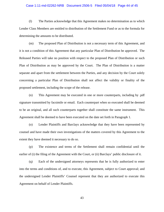#### Case 1:11-md-02262-NRB Document 2506-5 Filed 05/04/18 Page 44 of 45

(l) The Parties acknowledge that this Agreement makes no determination as to which Lender Class Members are entitled to distribution of the Settlement Fund or as to the formula for determining the amounts to be distributed.

(m) The proposed Plan of Distribution is not a necessary term of this Agreement, and it is not a condition of this Agreement that any particular Plan of Distribution be approved. The Released Parties will take no position with respect to the proposed Plan of Distribution or such Plan of Distribution as may be approved by the Court. The Plan of Distribution is a matter separate and apart from the settlement between the Parties, and any decision by the Court solely concerning a particular Plan of Distribution shall not affect the validity or finality of the proposed settlement, including the scope of the release.

(n) This Agreement may be executed in one or more counterparts, including by .pdf signature transmitted by facsimile or email. Each counterpart when so executed shall be deemed to be an original, and all such counterparts together shall constitute the same instrument. This Agreement shall be deemed to have been executed on the date set forth in Paragraph 1.

(o) Lender Plaintiffs and Barclays acknowledge that they have been represented by counsel and have made their own investigations of the matters covered by this Agreement to the extent they have deemed it necessary to do so.

(p) The existence and terms of the Settlement shall remain confidential until the earlier of (i) the filing of the Agreement with the Court, or (ii) Barclays' public disclosure of it.

(q) Each of the undersigned attorneys represents that he is fully authorized to enter into the terms and conditions of, and to execute, this Agreement, subject to Court approval; and the undersigned Lender Plaintiffs' Counsel represent that they are authorized to execute this Agreement on behalf of Lender Plaintiffs.